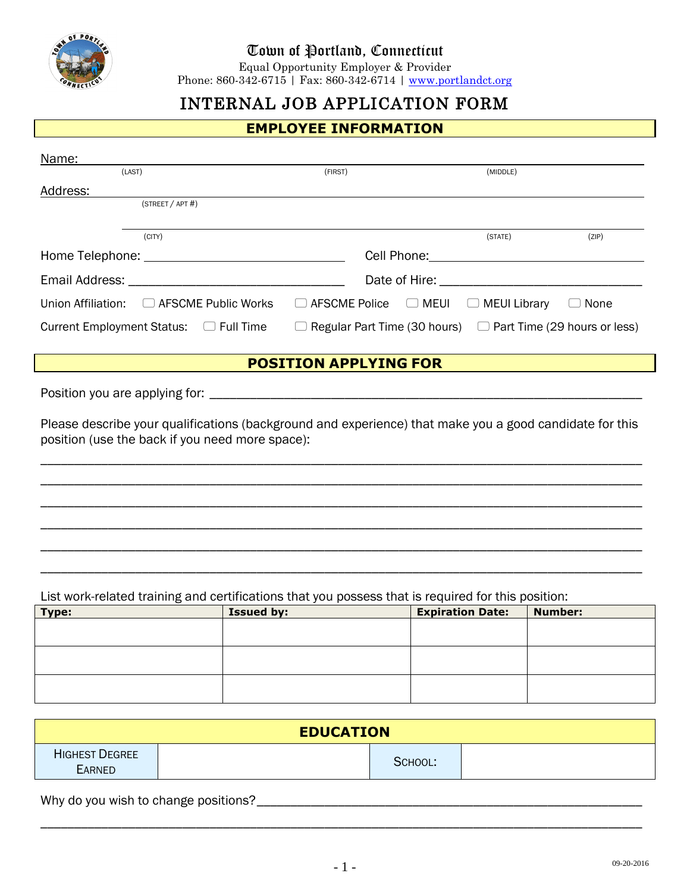

## Town of Portland, Connecticut

Equal Opportunity Employer & Provider

Phone: 860-342-6715 | Fax: 860-342-6714 | [www.portlandct.org](http://www.portlandct.org/)

## INTERNAL JOB APPLICATION FORM

| <b>EMPLOYEE INFORMATION</b>                                                                                                                                |         |                                              |       |  |
|------------------------------------------------------------------------------------------------------------------------------------------------------------|---------|----------------------------------------------|-------|--|
| Name:<br>(LAST)                                                                                                                                            | (FIRST) | (MIDDLE)                                     |       |  |
| Address:<br>(STATEET / APT#)                                                                                                                               |         |                                              |       |  |
| (CITY)                                                                                                                                                     |         | (STATE)                                      | (ZIP) |  |
|                                                                                                                                                            |         |                                              |       |  |
|                                                                                                                                                            |         |                                              |       |  |
| Union Affiliation: □ AFSCME Public Works                                                                                                                   |         | □ AFSCME Police □ MEUI □ MEUI Library □ None |       |  |
| Current Employment Status: $\Box$ Full Time $\Box$ Regular Part Time (30 hours) $\Box$ Part Time (29 hours or less)                                        |         |                                              |       |  |
| <b>POSITION APPLYING FOR</b>                                                                                                                               |         |                                              |       |  |
|                                                                                                                                                            |         |                                              |       |  |
| Please describe your qualifications (background and experience) that make you a good candidate for this<br>position (use the back if you need more space): |         |                                              |       |  |
|                                                                                                                                                            |         |                                              |       |  |
|                                                                                                                                                            |         |                                              |       |  |
|                                                                                                                                                            |         |                                              |       |  |
| List work related training and certifications that you possess that is required for this position:                                                         |         |                                              |       |  |

List work-related training and certifications that you possess that is required for this position:

| Type: | <b>Issued by:</b> | <b>Expiration Date:</b> | <b>Number:</b> |
|-------|-------------------|-------------------------|----------------|
|       |                   |                         |                |
|       |                   |                         |                |
|       |                   |                         |                |
|       |                   |                         |                |
|       |                   |                         |                |
|       |                   |                         |                |

| <b>EDUCATION</b>                       |  |         |  |
|----------------------------------------|--|---------|--|
| <b>HIGHEST DEGREE</b><br><b>EARNED</b> |  | SCHOOL: |  |

Why do you wish to change positions?\_\_\_\_\_\_\_\_\_\_\_\_\_\_\_\_\_\_\_\_\_\_\_\_\_\_\_\_\_\_\_\_\_\_\_\_\_\_\_\_\_\_\_\_\_\_\_\_\_\_\_\_\_\_\_\_\_

\_\_\_\_\_\_\_\_\_\_\_\_\_\_\_\_\_\_\_\_\_\_\_\_\_\_\_\_\_\_\_\_\_\_\_\_\_\_\_\_\_\_\_\_\_\_\_\_\_\_\_\_\_\_\_\_\_\_\_\_\_\_\_\_\_\_\_\_\_\_\_\_\_\_\_\_\_\_\_\_\_\_\_\_\_\_\_\_\_